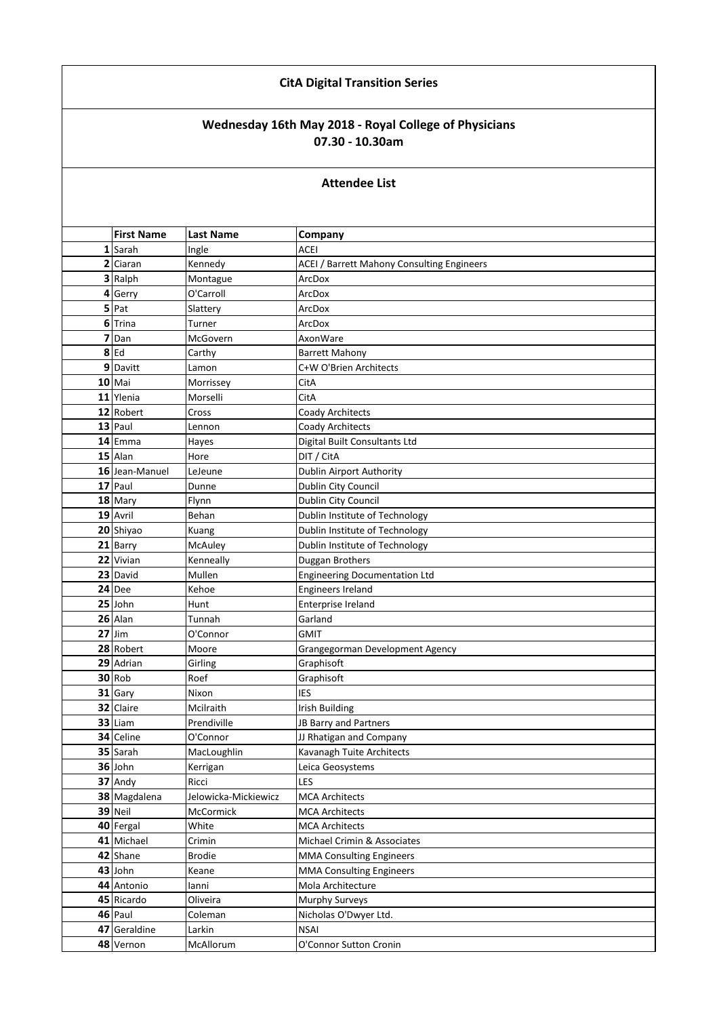## **CitA Digital Transition Series**

## **Wednesday 16th May 2018 - Royal College of Physicians 07.30 - 10.30am**

## **Attendee List**

| <b>First Name</b> | <b>Last Name</b>     | Company                                    |
|-------------------|----------------------|--------------------------------------------|
| 1 Sarah           | Ingle                | <b>ACEI</b>                                |
| 2 Ciaran          | Kennedy              | ACEI / Barrett Mahony Consulting Engineers |
| 3 Ralph           | Montague             | ArcDox                                     |
| 4 Gerry           | O'Carroll            | ArcDox                                     |
| 5 Pat             | Slattery             | ArcDox                                     |
| 6 Trina           | Turner               | ArcDox                                     |
| 7 Dan             | McGovern             | AxonWare                                   |
| $8$ Ed            | Carthy               | <b>Barrett Mahony</b>                      |
| 9 Davitt          | Lamon                | C+W O'Brien Architects                     |
| $10$ Mai          | Morrissey            | CitA                                       |
| 11 Ylenia         | Morselli             | CitA                                       |
| 12 Robert         | Cross                | <b>Coady Architects</b>                    |
| 13 Paul           | Lennon               | <b>Coady Architects</b>                    |
| 14 Emma           | Hayes                | Digital Built Consultants Ltd              |
| 15 Alan           | Hore                 | DIT / CitA                                 |
| 16 Jean-Manuel    | LeJeune              | Dublin Airport Authority                   |
| 17 Paul           | Dunne                | Dublin City Council                        |
| 18 Mary           | Flynn                | Dublin City Council                        |
| 19 Avril          | Behan                | Dublin Institute of Technology             |
| 20 Shiyao         | Kuang                | Dublin Institute of Technology             |
| 21 Barry          | McAuley              | Dublin Institute of Technology             |
| 22 Vivian         | Kenneally            | Duggan Brothers                            |
| 23 David          | Mullen               | <b>Engineering Documentation Ltd</b>       |
| 24 Dee            | Kehoe                | Engineers Ireland                          |
| 25 John           | Hunt                 | Enterprise Ireland                         |
| 26 Alan           | Tunnah               | Garland                                    |
| $27$ Jim          | O'Connor             | <b>GMIT</b>                                |
| 28 Robert         | Moore                | Grangegorman Development Agency            |
| 29 Adrian         | Girling              | Graphisoft                                 |
| 30 Rob            | Roef                 | Graphisoft                                 |
| 31 Gary           | Nixon                | <b>IES</b>                                 |
| 32 Claire         | Mcilraith            | <b>Irish Building</b>                      |
| 33 Liam           | Prendiville          | JB Barry and Partners                      |
| 34 Celine         | O'Connor             | JJ Rhatigan and Company                    |
| 35 Sarah          | MacLoughlin          | Kavanagh Tuite Architects                  |
| 36 John           | Kerrigan             | Leica Geosystems                           |
| 37 Andy           | Ricci                | LES                                        |
| 38 Magdalena      | Jelowicka-Mickiewicz | <b>MCA Architects</b>                      |
| 39 Neil           | McCormick            | <b>MCA Architects</b>                      |
| 40 Fergal         | White                | <b>MCA Architects</b>                      |
| 41 Michael        | Crimin               | Michael Crimin & Associates                |
| 42 Shane          | <b>Brodie</b>        | <b>MMA Consulting Engineers</b>            |
| 43 John           | Keane                | <b>MMA Consulting Engineers</b>            |
| 44 Antonio        | lanni                | Mola Architecture                          |
| 45 Ricardo        | Oliveira             | Murphy Surveys                             |
| 46 Paul           | Coleman              | Nicholas O'Dwyer Ltd.                      |
| 47 Geraldine      | Larkin               | <b>NSAI</b>                                |
| 48 Vernon         | McAllorum            | O'Connor Sutton Cronin                     |
|                   |                      |                                            |